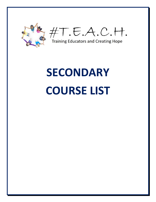

#T.E.A.C.H.

**Training Educators and Creating Hope** 

## **SECONDARY COURSE LIST**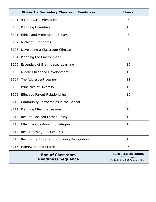| <b>Phase 1 - Secondary Classroom Readiness</b>       | <b>Hours</b>                                                                 |
|------------------------------------------------------|------------------------------------------------------------------------------|
| S001: #T.E.A.C.H. Orientation                        | 7                                                                            |
| S100: Planning Essentials                            | 10                                                                           |
| S101: Ethics and Professional Behavior               | 8                                                                            |
| S102: Michigan Standards                             | 6                                                                            |
| S103: Developing a Classroom Climate                 | 8                                                                            |
| S104: Planning the Environment                       | 6                                                                            |
| S105: Essentials of Brain-based Learning             | 10                                                                           |
| S106: Middle Childhood Development                   | 10                                                                           |
| S107: The Adolescent Learner                         | 12                                                                           |
| S108: Principles of Diversity                        | 10                                                                           |
| S109: Effective Parent Relationships                 | 10                                                                           |
| S110: Community Partnerships in the School           | 8                                                                            |
| S111: Planning Effective Lessons                     | 10                                                                           |
| S112: Results-Focused Lesson Study                   | 12                                                                           |
| S113: Effective Questioning Strategies               | 10                                                                           |
| S114: Best Teaching Practices 7-12                   | 20                                                                           |
| S115: Reinforcing Effort and Providing Recognition   | 10                                                                           |
| S116: Homework and Practice                          | 6                                                                            |
| <b>End of Classroom</b><br><b>Readiness Sequence</b> | <b>SEMESTER OR HOURS</b><br>173 Hours<br>(Equivalent to 6.92 Semester Hours) |